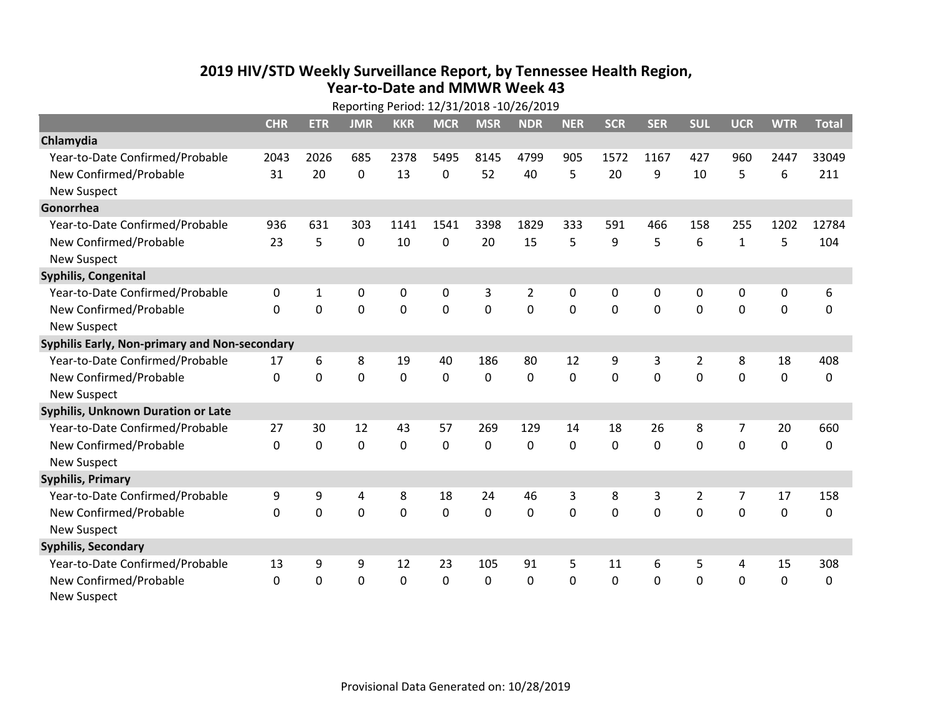## **2019 HIV /STD Weekly Surveillance Report, by Tennessee Health Region, Year‐to‐Date and MMWR Week 43** Reporting Period: 12/31/2018 ‐10/26/2019

|                                               | Reporting Period: 12/31/2018 -10/26/2019 |            |             |            |             |                |                |             |              |            |                |                |             |              |
|-----------------------------------------------|------------------------------------------|------------|-------------|------------|-------------|----------------|----------------|-------------|--------------|------------|----------------|----------------|-------------|--------------|
|                                               | <b>CHR</b>                               | <b>ETR</b> | <b>JMR</b>  | <b>KKR</b> | <b>MCR</b>  | <b>MSR</b>     | <b>NDR</b>     | <b>NER</b>  | <b>SCR</b>   | <b>SER</b> | <b>SUL</b>     | <b>UCR</b>     | <b>WTR</b>  | <b>Total</b> |
| Chlamydia                                     |                                          |            |             |            |             |                |                |             |              |            |                |                |             |              |
| Year-to-Date Confirmed/Probable               | 2043                                     | 2026       | 685         | 2378       | 5495        | 8145           | 4799           | 905         | 1572         | 1167       | 427            | 960            | 2447        | 33049        |
| New Confirmed/Probable                        | 31                                       | 20         | 0           | 13         | 0           | 52             | 40             | 5           | 20           | 9          | 10             | 5              | 6           | 211          |
| <b>New Suspect</b>                            |                                          |            |             |            |             |                |                |             |              |            |                |                |             |              |
| Gonorrhea                                     |                                          |            |             |            |             |                |                |             |              |            |                |                |             |              |
| Year-to-Date Confirmed/Probable               | 936                                      | 631        | 303         | 1141       | 1541        | 3398           | 1829           | 333         | 591          | 466        | 158            | 255            | 1202        | 12784        |
| New Confirmed/Probable                        | 23                                       | 5          | $\mathbf 0$ | 10         | 0           | 20             | 15             | 5           | 9            | 5          | 6              | $\mathbf{1}$   | 5           | 104          |
| <b>New Suspect</b>                            |                                          |            |             |            |             |                |                |             |              |            |                |                |             |              |
| <b>Syphilis, Congenital</b>                   |                                          |            |             |            |             |                |                |             |              |            |                |                |             |              |
| Year-to-Date Confirmed/Probable               | 0                                        | 1          | 0           | 0          | $\mathbf 0$ | 3              | $\overline{2}$ | 0           | 0            | 0          | 0              | 0              | 0           | 6            |
| New Confirmed/Probable                        | $\mathbf{0}$                             | 0          | 0           | 0          | $\mathbf 0$ | $\overline{0}$ | 0              | $\mathbf 0$ | $\mathbf{0}$ | 0          | 0              | 0              | $\mathbf 0$ | 0            |
| <b>New Suspect</b>                            |                                          |            |             |            |             |                |                |             |              |            |                |                |             |              |
| Syphilis Early, Non-primary and Non-secondary |                                          |            |             |            |             |                |                |             |              |            |                |                |             |              |
| Year-to-Date Confirmed/Probable               | 17                                       | 6          | 8           | 19         | 40          | 186            | 80             | 12          | 9            | 3          | 2              | 8              | 18          | 408          |
| New Confirmed/Probable                        | $\Omega$                                 | $\Omega$   | 0           | 0          | $\mathbf 0$ | $\mathbf 0$    | $\Omega$       | $\Omega$    | $\Omega$     | $\Omega$   | $\Omega$       | $\Omega$       | $\mathbf 0$ | 0            |
| <b>New Suspect</b>                            |                                          |            |             |            |             |                |                |             |              |            |                |                |             |              |
| Syphilis, Unknown Duration or Late            |                                          |            |             |            |             |                |                |             |              |            |                |                |             |              |
| Year-to-Date Confirmed/Probable               | 27                                       | 30         | 12          | 43         | 57          | 269            | 129            | 14          | 18           | 26         | 8              | 7              | 20          | 660          |
| New Confirmed/Probable                        | $\mathbf{0}$                             | $\Omega$   | 0           | 0          | $\mathbf 0$ | $\mathbf 0$    | $\Omega$       | $\Omega$    | $\Omega$     | $\Omega$   | $\Omega$       | 0              | $\mathbf 0$ | 0            |
| <b>New Suspect</b>                            |                                          |            |             |            |             |                |                |             |              |            |                |                |             |              |
| <b>Syphilis, Primary</b>                      |                                          |            |             |            |             |                |                |             |              |            |                |                |             |              |
| Year-to-Date Confirmed/Probable               | 9                                        | 9          | 4           | 8          | 18          | 24             | 46             | 3           | 8            | 3          | $\overline{2}$ | $\overline{7}$ | 17          | 158          |
| New Confirmed/Probable                        | $\Omega$                                 | 0          | 0           | 0          | $\mathbf 0$ | 0              | 0              | $\Omega$    | $\Omega$     | $\Omega$   | $\Omega$       | $\Omega$       | $\mathbf 0$ | 0            |
| <b>New Suspect</b>                            |                                          |            |             |            |             |                |                |             |              |            |                |                |             |              |
| <b>Syphilis, Secondary</b>                    |                                          |            |             |            |             |                |                |             |              |            |                |                |             |              |
| Year-to-Date Confirmed/Probable               | 13                                       | 9          | 9           | 12         | 23          | 105            | 91             | 5           | 11           | 6          | 5              | 4              | 15          | 308          |
| New Confirmed/Probable                        | 0                                        | 0          | 0           | 0          | $\mathbf 0$ | 0              | 0              | $\Omega$    | $\mathbf{0}$ | 0          | 0              | 0              | $\mathbf 0$ | 0            |
| <b>New Suspect</b>                            |                                          |            |             |            |             |                |                |             |              |            |                |                |             |              |